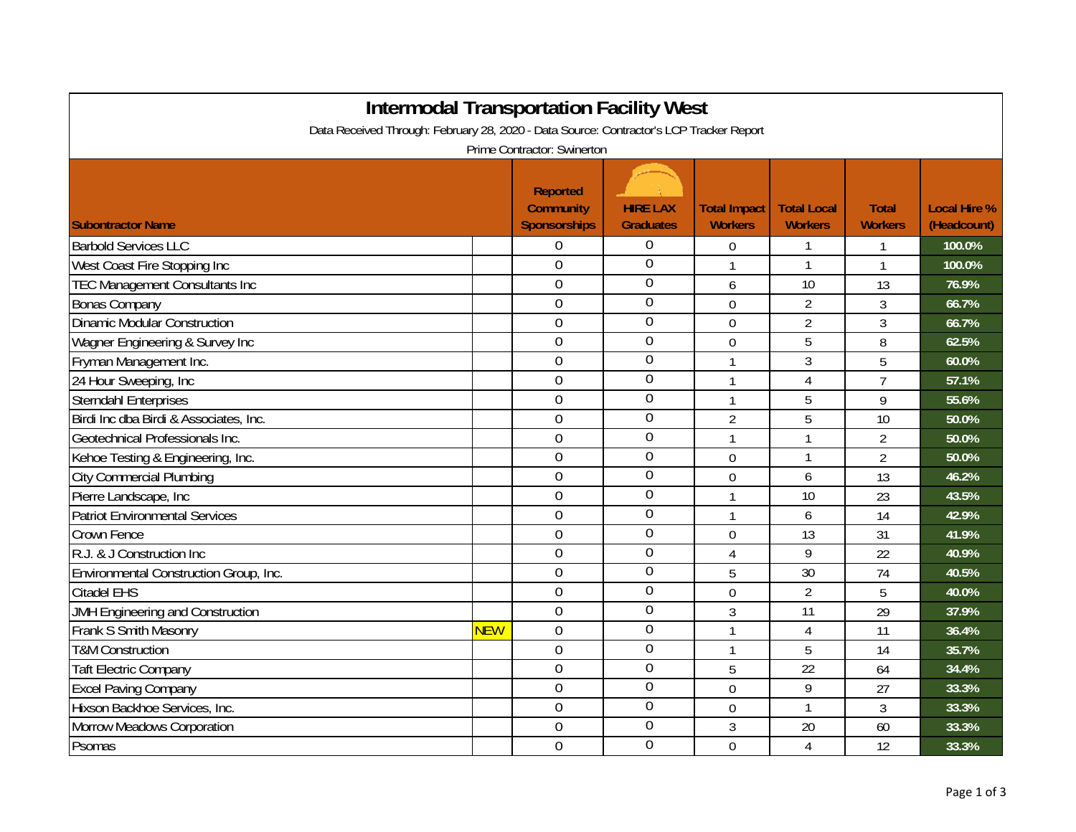| <b>Intermodal Transportation Facility West</b><br>Data Received Through: February 28, 2020 - Data Source: Contractor's LCP Tracker Report |            |                                                                                           |                                     |                                       |                                      |                                |                                    |  |
|-------------------------------------------------------------------------------------------------------------------------------------------|------------|-------------------------------------------------------------------------------------------|-------------------------------------|---------------------------------------|--------------------------------------|--------------------------------|------------------------------------|--|
| <b>Subontractor Name</b>                                                                                                                  |            | Prime Contractor: Swinerton<br><b>Reported</b><br><b>Community</b><br><b>Sponsorships</b> | <b>HIRE LAX</b><br><b>Graduates</b> | <b>Total Impact</b><br><b>Workers</b> | <b>Total Local</b><br><b>Workers</b> | <b>Total</b><br><b>Workers</b> | <b>Local Hire %</b><br>(Headcount) |  |
| <b>Barbold Services LLC</b>                                                                                                               |            | 0                                                                                         | $\Omega$                            | $\overline{0}$                        | 1                                    | 1                              | 100.0%                             |  |
| West Coast Fire Stopping Inc                                                                                                              |            | 0                                                                                         | $\overline{0}$                      | $\mathbf{1}$                          | $\mathbf{1}$                         | $\mathbf{1}$                   | 100.0%                             |  |
| <b>TEC Management Consultants Inc</b>                                                                                                     |            | $\overline{0}$                                                                            | $\overline{0}$                      | 6                                     | 10                                   | 13                             | 76.9%                              |  |
| <b>Bonas Company</b>                                                                                                                      |            | 0                                                                                         | $\mathbf 0$                         | 0                                     | $\overline{2}$                       | 3                              | 66.7%                              |  |
| <b>Dinamic Modular Construction</b>                                                                                                       |            | $\overline{0}$                                                                            | $\mathbf 0$                         | 0                                     | $\overline{2}$                       | 3                              | 66.7%                              |  |
| Wagner Engineering & Survey Inc                                                                                                           |            | $\overline{0}$                                                                            | $\overline{0}$                      | $\overline{0}$                        | 5                                    | 8                              | 62.5%                              |  |
| Fryman Management Inc.                                                                                                                    |            | 0                                                                                         | $\overline{0}$                      | $\mathbf{1}$                          | 3                                    | 5                              | 60.0%                              |  |
| 24 Hour Sweeping, Inc                                                                                                                     |            | $\overline{0}$                                                                            | $\overline{0}$                      | $\mathbf{1}$                          | $\overline{4}$                       | $\overline{7}$                 | 57.1%                              |  |
| <b>Sterndahl Enterprises</b>                                                                                                              |            | $\overline{0}$                                                                            | $\mathbf 0$                         | $\mathbf{1}$                          | 5                                    | 9                              | 55.6%                              |  |
| Birdi Inc dba Birdi & Associates, Inc.                                                                                                    |            | $\overline{0}$                                                                            | $\overline{0}$                      | $\overline{2}$                        | 5                                    | 10                             | 50.0%                              |  |
| Geotechnical Professionals Inc.                                                                                                           |            | $\overline{0}$                                                                            | $\mathbf 0$                         | $\mathbf{1}$                          | $\mathbf{1}$                         | $\overline{2}$                 | 50.0%                              |  |
| Kehoe Testing & Engineering, Inc.                                                                                                         |            | 0                                                                                         | $\overline{0}$                      | 0                                     | $\mathbf{1}$                         | $\overline{2}$                 | 50.0%                              |  |
| <b>City Commercial Plumbing</b>                                                                                                           |            | 0                                                                                         | $\overline{0}$                      | 0                                     | 6                                    | 13                             | 46.2%                              |  |
| Pierre Landscape, Inc                                                                                                                     |            | 0                                                                                         | $\mathbf 0$                         | $\mathbf{1}$                          | 10                                   | 23                             | 43.5%                              |  |
| <b>Patriot Environmental Services</b>                                                                                                     |            | 0                                                                                         | $\overline{0}$                      | $\mathbf{1}$                          | 6                                    | 14                             | 42.9%                              |  |
| <b>Crown Fence</b>                                                                                                                        |            | $\overline{0}$                                                                            | $\mathbf 0$                         | 0                                     | 13                                   | 31                             | 41.9%                              |  |
| R.J. & J Construction Inc                                                                                                                 |            | $\overline{0}$                                                                            | $\mathbf 0$                         | $\overline{4}$                        | 9                                    | 22                             | 40.9%                              |  |
| Environmental Construction Group, Inc.                                                                                                    |            | $\overline{0}$                                                                            | $\overline{0}$                      | 5                                     | 30                                   | 74                             | 40.5%                              |  |
| <b>Citadel EHS</b>                                                                                                                        |            | $\overline{0}$                                                                            | $\overline{0}$                      | 0                                     | $\overline{2}$                       | 5                              | 40.0%                              |  |
| JMH Engineering and Construction                                                                                                          |            | 0                                                                                         | $\overline{0}$                      | 3                                     | 11                                   | 29                             | 37.9%                              |  |
| Frank S Smith Masonry                                                                                                                     | <b>NEW</b> | $\overline{0}$                                                                            | $\overline{0}$                      | $\mathbf{1}$                          | 4                                    | 11                             | 36.4%                              |  |
| <b>T&amp;M Construction</b>                                                                                                               |            | $\overline{0}$                                                                            | $\overline{0}$                      | $\mathbf{1}$                          | 5                                    | 14                             | 35.7%                              |  |
| <b>Taft Electric Company</b>                                                                                                              |            | 0                                                                                         | $\boldsymbol{0}$                    | 5                                     | 22                                   | 64                             | 34.4%                              |  |
| <b>Excel Paving Company</b>                                                                                                               |            | 0                                                                                         | $\overline{0}$                      | $\overline{0}$                        | 9                                    | 27                             | 33.3%                              |  |
| Hixson Backhoe Services, Inc.                                                                                                             |            | 0                                                                                         | $\overline{0}$                      | 0                                     | $\mathbf{1}$                         | 3                              | 33.3%                              |  |
| Morrow Meadows Corporation                                                                                                                |            | 0                                                                                         | 0                                   | 3                                     | 20                                   | 60                             | 33.3%                              |  |
| Psomas                                                                                                                                    |            | 0                                                                                         | $\overline{0}$                      | $\overline{0}$                        | 4                                    | 12                             | 33.3%                              |  |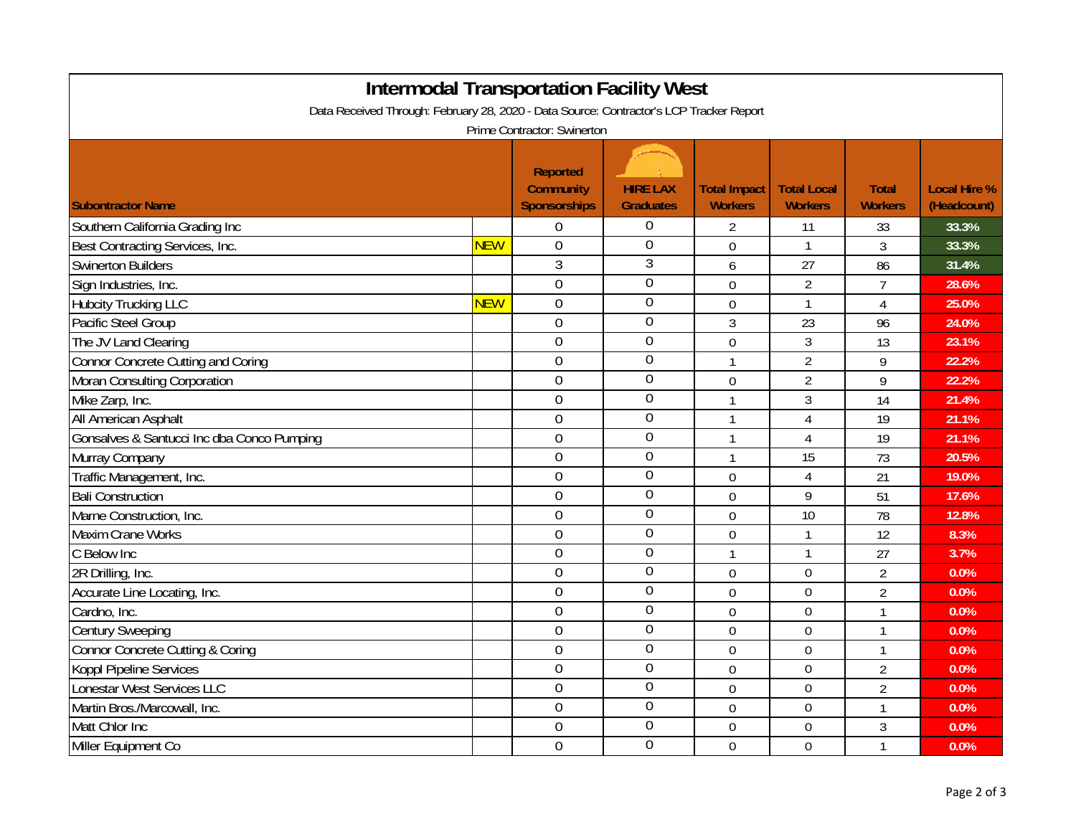| <b>Intermodal Transportation Facility West</b>                                          |            |                                                     |                                     |                                       |                                      |                                |                                    |  |  |
|-----------------------------------------------------------------------------------------|------------|-----------------------------------------------------|-------------------------------------|---------------------------------------|--------------------------------------|--------------------------------|------------------------------------|--|--|
| Data Received Through: February 28, 2020 - Data Source: Contractor's LCP Tracker Report |            |                                                     |                                     |                                       |                                      |                                |                                    |  |  |
| Prime Contractor: Swinerton                                                             |            |                                                     |                                     |                                       |                                      |                                |                                    |  |  |
| <b>Subontractor Name</b>                                                                |            | <b>Reported</b><br><b>Community</b><br>Sponsorships | <b>HIRE LAX</b><br><b>Graduates</b> | <b>Total Impact</b><br><b>Workers</b> | <b>Total Local</b><br><b>Workers</b> | <b>Total</b><br><b>Workers</b> | <b>Local Hire %</b><br>(Headcount) |  |  |
| Southern California Grading Inc                                                         |            | $\boldsymbol{0}$                                    | 0                                   | $\overline{2}$                        | 11                                   | 33                             | 33.3%                              |  |  |
| Best Contracting Services, Inc.                                                         | <b>NEW</b> | $\mathbf 0$                                         | $\mathbf 0$                         | $\mathbf 0$                           | $\mathbf{1}$                         | 3                              | 33.3%                              |  |  |
| <b>Swinerton Builders</b>                                                               |            | 3                                                   | 3                                   | 6                                     | 27                                   | 86                             | 31.4%                              |  |  |
| Sign Industries, Inc.                                                                   |            | $\overline{0}$                                      | $\overline{0}$                      | $\overline{0}$                        | $\overline{2}$                       | $\overline{7}$                 | 28.6%                              |  |  |
| <b>Hubcity Trucking LLC</b>                                                             | <b>NEW</b> | $\mathbf 0$                                         | 0                                   | $\mathbf 0$                           | $\mathbf{1}$                         | $\overline{4}$                 | 25.0%                              |  |  |
| Pacific Steel Group                                                                     |            | $\mathbf 0$                                         | 0                                   | 3                                     | 23                                   | 96                             | 24.0%                              |  |  |
| The JV Land Clearing                                                                    |            | $\mathbf 0$                                         | $\overline{0}$                      | $\mathbf 0$                           | $\mathfrak{Z}$                       | 13                             | 23.1%                              |  |  |
| Connor Concrete Cutting and Coring                                                      |            | $\mathbf 0$                                         | $\overline{0}$                      | $\mathbf{1}$                          | $\overline{2}$                       | 9                              | 22.2%                              |  |  |
| Moran Consulting Corporation                                                            |            | $\mathbf 0$                                         | $\overline{0}$                      | $\mathbf 0$                           | $\overline{2}$                       | 9                              | 22.2%                              |  |  |
| Mike Zarp, Inc.                                                                         |            | $\boldsymbol{0}$                                    | $\mathbf 0$                         | 1                                     | $\mathfrak{Z}$                       | 14                             | 21.4%                              |  |  |
| All American Asphalt                                                                    |            | $\mathbf 0$                                         | $\boldsymbol{0}$                    | $\mathbf{1}$                          | $\overline{4}$                       | 19                             | 21.1%                              |  |  |
| Gonsalves & Santucci Inc dba Conco Pumping                                              |            | $\mathbf 0$                                         | $\overline{0}$                      | 1                                     | $\overline{4}$                       | 19                             | 21.1%                              |  |  |
| Murray Company                                                                          |            | $\mathbf 0$                                         | 0                                   | $\mathbf{1}$                          | 15                                   | 73                             | 20.5%                              |  |  |
| Traffic Management, Inc.                                                                |            | $\mathbf 0$                                         | $\overline{0}$                      | $\mathbf 0$                           | $\overline{4}$                       | 21                             | 19.0%                              |  |  |
| <b>Bali Construction</b>                                                                |            | $\mathbf 0$                                         | $\boldsymbol{0}$                    | $\mathbf 0$                           | 9                                    | 51                             | 17.6%                              |  |  |
| Marne Construction, Inc.                                                                |            | $\boldsymbol{0}$                                    | $\overline{0}$                      | $\mathbf 0$                           | 10                                   | 78                             | 12.8%                              |  |  |
| <b>Maxim Crane Works</b>                                                                |            | $\overline{0}$                                      | $\overline{0}$                      | $\boldsymbol{0}$                      | $\mathbf{1}$                         | 12                             | 8.3%                               |  |  |
| C Below Inc                                                                             |            | $\mathbf 0$                                         | $\boldsymbol{0}$                    | $\mathbf{1}$                          | $\mathbf{1}$                         | 27                             | 3.7%                               |  |  |
| 2R Drilling, Inc.                                                                       |            | $\overline{0}$                                      | $\boldsymbol{0}$                    | $\overline{0}$                        | $\overline{0}$                       | $\overline{2}$                 | 0.0%                               |  |  |
| Accurate Line Locating, Inc.                                                            |            | $\overline{0}$                                      | $\boldsymbol{0}$                    | $\overline{0}$                        | $\mathbf 0$                          | $\overline{2}$                 | 0.0%                               |  |  |
| Cardno, Inc.                                                                            |            | $\overline{0}$                                      | 0                                   | $\overline{0}$                        | $\mathbf 0$                          | $\mathbf{1}$                   | 0.0%                               |  |  |
| <b>Century Sweeping</b>                                                                 |            | $\overline{0}$                                      | 0                                   | $\overline{0}$                        | $\overline{0}$                       | $\mathbf{1}$                   | 0.0%                               |  |  |
| <b>Connor Concrete Cutting &amp; Coring</b>                                             |            | $\mathbf 0$                                         | $\boldsymbol{0}$                    | $\mathbf{0}$                          | $\mathbf 0$                          | $\mathbf{1}$                   | 0.0%                               |  |  |
| Koppl Pipeline Services                                                                 |            | $\overline{0}$                                      | 0                                   | $\overline{0}$                        | $\mathbf 0$                          | $\overline{2}$                 | 0.0%                               |  |  |
| Lonestar West Services LLC                                                              |            | $\mathbf 0$                                         | $\overline{0}$                      | $\mathbf 0$                           | $\mathbf 0$                          | $\overline{2}$                 | 0.0%                               |  |  |
| Martin Bros./Marcowall, Inc.                                                            |            | $\mathbf 0$                                         | $\overline{0}$                      | $\mathbf 0$                           | $\mathbf 0$                          | $\mathbf{1}$                   | 0.0%                               |  |  |
| Matt Chlor Inc                                                                          |            | $\mathbf 0$                                         | $\mathbf 0$                         | $\mathbf 0$                           | $\mathbf 0$                          | 3                              | 0.0%                               |  |  |
| Miller Equipment Co                                                                     |            | $\mathbf 0$                                         | $\overline{0}$                      | $\mathbf 0$                           | $\mathbf 0$                          | $\mathbf{1}$                   | 0.0%                               |  |  |